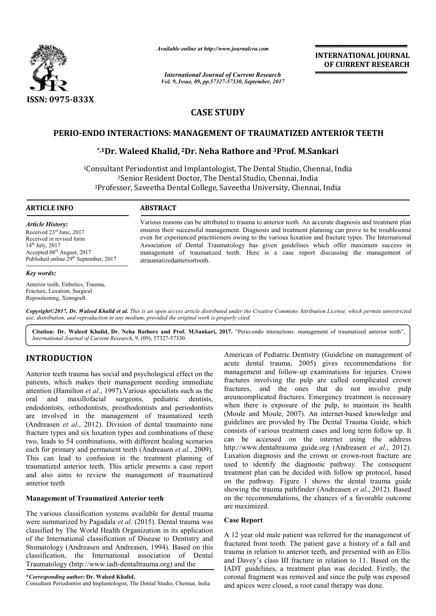

*Available online at http://www.journal http://www.journalcra.com*

*International Journal of Current Research Vol. 9, Issue, 09, pp.57327-57330, September, 2017* **INTERNATIONAL JOURNAL OF CURRENT RESEARCH** 

# **CASE STUDY**

# **PERIO-ENDO INTERACTIONS: MANAGEMENT OF TRAUMATIZED ANTERIOR TEETH**

# **ENDO INTERACTIONS: MANAGEMENT OF TRAUMATIZED ANTER**<br><sup>\*,1</sup>Dr. Waleed Khalid, <sup>2</sup>Dr. Neha Rathore and <sup>3</sup>Prof. M.Sankari

<sup>1</sup>Consultant Periodontist and Implantologist, The Dental Studio, Chennai, India <sup>2</sup>Senior Resident Doctor, The Dental Studio, Chennai, India <sup>2</sup>Senior Resident Doctor, The Dental Studio, Chennai, India<br><sup>3</sup>Professor, Saveetha Dental College, Saveetha University, Chennai, India

#### **ARTICLE INFO ABSTRACT**

*Article History:* Received 23rd June, 2017 Received in revised form 14th July, 2017 Accepted 08<sup>th</sup> August, 2017 Published online 29<sup>th</sup> September, 2017

#### *Key words:*

Anterior teeth, Esthetics, Trauma, Fracture, Luxation, Surgical Repositioning, Xenograft.

Various reasons can be attributed to trauma to anterior teeth. An accurate diagnosis and treatment plan ensures their successful management. Diagnosis and treatment planning can prove to be troublesome even for experienced practitioners owing to the various luxation and fracture types. The International Association of Dental Traumatology has given guidelines which offer maximum success in management of traumatized teeth. Here is a case report discussing the management of atraumatizedanteriortooth atraumatizedanteriortooth. Various reasons can be attributed to trauma to anterior teeth. An accurate diagnosis and treatment plan ensures their successful management. Diagnosis and treatment planning can prove to be troublesome even for experienced

*Copyright©2017, Dr. Waleed Khalid et al. This is an open access article distributed under the Creative Commons Att Attribution License, which ribution which permits unrestricted use, distribution, and reproduction in any medium, provided the original work is properly cited.*

Citation: Dr. Waleed Khalid, Dr. Neha Rathore and Prof. M.Sankari, 2017. "Perio-endo interactions: management of traumatized anterior teeth", *International Journal of Current Research*, 9, (09), 57327 57327-57330.

# **INTRODUCTION**

Anterior teeth trauma has social and psychological effect on the patients, which makes their management needing immediate attention (Hamilton *et al*., 1997).Various specialists such as the oral and maxillofacial surgeons, pediatric dentists, endodontists, orthodontists, prosthodontists and periodontists are involved in the management of traumatized teeth (Andreasen *et al*., 2012). Division of dental traumainto nine fracture types and six luxation types and combinations of these two, leads to 54 combinations, with different healing scenarios each for primary and permanent teeth (Andreasen *et al*., 2009). This can lead to confusion in the treatment planning of traumatized anterior teeth. This article presents a case report and also aims to review the management of traumatized anterior teeth

### **Management of Traumatized Anterior teeth**

The various classification systems available for dental trauma were summarized by Pagadala *et al*. (2015). Dental trauma was classified by The World Health Organization in its application of the International classification of Disease to Dentistry and were summarized by Pagadala *et al.* (2015). Dental trauma was classified by The World Health Organization in its application of the International classification of Disease to Dentistry and Stomatology (Andreasen and Andre classification, the International association of Dental Traumatology (http://www.iadt-dentaltrauma.org) and the

**\****Corresponding author:* **Dr. Waleed Khalid,** Consultant Periodontist and Implantologist, The Dental Studio, Chennai, India

American of Pediatric Dentistry (Guideline on management of acute dental trauma, 2005) gives recommendations for management and follow-up examinations for injuries. Crown fractures involving the pulp are called complicated crown fractures, and the ones that do not inv areuncomplicated fractures. Emergency treatment is necessary when there is exposure of the pulp, to maintain its health when there is exposure of the pulp, to maintain its health (Moule and Moule, 2007). An internet-based knowledge and guidelines are provided by The Dental Trauma Guide, which consists of various treatment cases and long term follow up. It can be accessed on the internet using the address http://www.dentaltrauma guide.org (Andreasen et al., 2012). Luxation diagnosis and the crown or crown-root fracture are used to identify the diagnostic pathway. The consequent treatment plan can be decided with follow up protocol, based on the pathway. Figure 1 shows the dental trauma guide showing the trauma pathfinder (Andreasen et al., 2012). Based on the recommendations, the chances of a favorable outcome are maximized. acute dental trauma, 2005) gives recommendations for management and follow-up examinations for injuries. Crown fractures involving the pulp are called complicated crown fractures, and the ones that do not involve pulp are provided by The Dental Trauma Guide, which<br>
various treatment cases and long term follow up. It<br>
accessed on the internet using the address<br> *r*.dentaltrauma guide.org (Andreasen *et al.*, 2012). plan can be decided with follow up protocol, based<br>athway. Figure 1 shows the dental trauma guide<br>he trauma pathfinder (Andreasen *et al.*, 2012). Based **INTERNATIONAL JOUENAL CONVERTS (GIUEREENT RESEARCH CONVERTS (GIVERENT RESEARCH CONVERTS SUPRIMET) TO DEPART (FOR THE STAND GRED AND SUPPLY TO F TRALMMATIZED ANTERIOR TEETH AND SUPPLY TO FTRALMMATIZED ANTERIOR TEETH AND S** 

#### **Case Report**

A 12 year old male patient was referred for the management of fractured front tooth. The patient gave a history of a fall and trauma in relation to anterior teeth, and presented with an Ellis and Davey's class III fracture in relation to 11. Based on the IADT guidelines, a treatment plan was decided. Firstly, the coronal fragment was removed and since the pulp was exposed and apices were closed, a root canal therapy was done.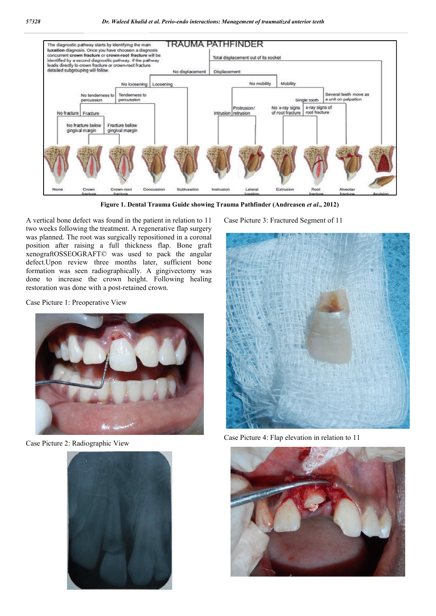

**Figure 1. Dental Trauma Guide showing Trauma Pathfinder (Andreasen** *et al***., 2012)**

A vertical bone defect was found in the patient in relation to 11 two weeks following the treatment. A regenerative flap surgery was planned. The root was surgically repositioned in a coronal position after raising a full thickness flap. Bone graft xenograftOSSEOGRAFT© was used to pack the angular defect.Upon review three months later, sufficient bone formation was seen radiographically. A gingivectomy was done to increase the crown height. Following healing restoration was done with a post-retained crown.

Case Picture 1: Preoperative View



Case Picture 2: Radiographic View



Case Picture 3: Fractured Segment of 11



Case Picture 4: Flap elevation in relation to 11

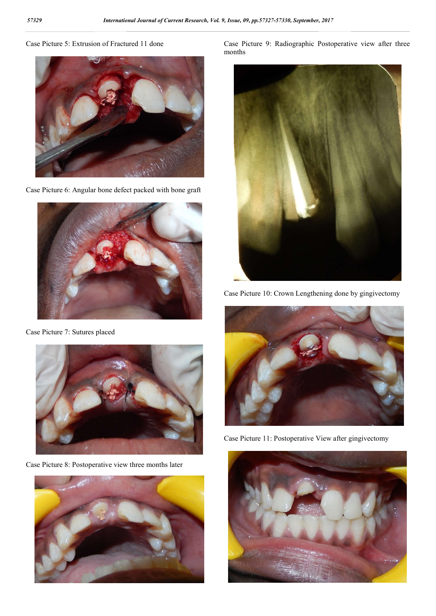# Case Picture 5: Extrusion of Fractured 11 done



Case Picture 6: Angular bone defect packed with bone graft



Case Picture 7: Sutures placed



Case Picture 8: Postoperative view three months later



Case Picture 9: Radiographic Postoperative view after three months



Case Picture 10: Crown Lengthening done by gingivectomy



Case Picture 11: Postoperative View after gingivectomy